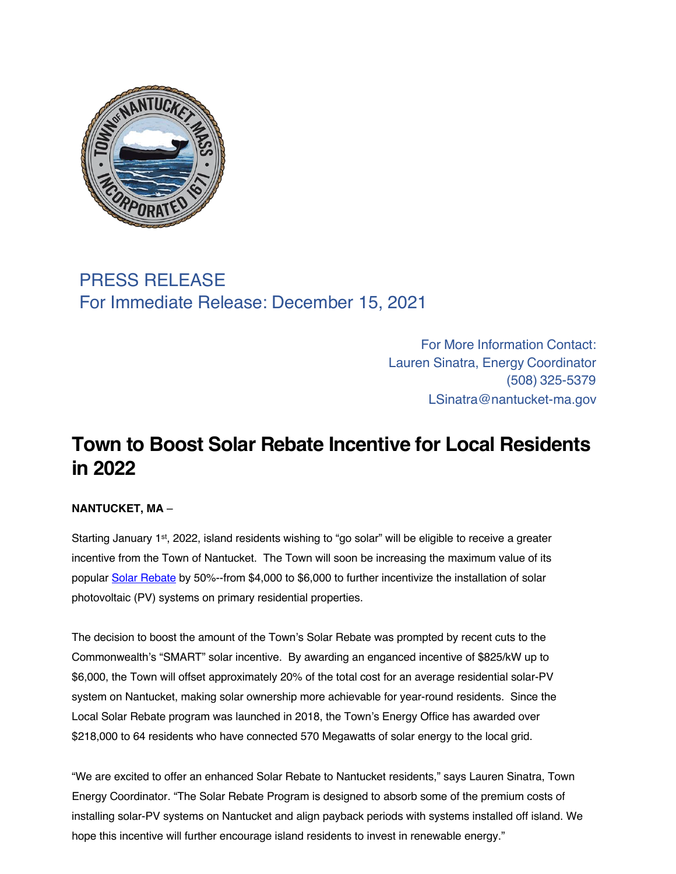

## PRESS RELEASE For Immediate Release: December 15, 2021

For More Information Contact: Lauren Sinatra, Energy Coordinator (508) 325-5379 LSinatra@nantucket-ma.gov

## **Town to Boost Solar Rebate Incentive for Local Residents in 2022**

## **NANTUCKET, MA** –

Starting January 1<sup>st</sup>, 2022, island residents wishing to "go solar" will be eligible to receive a greater incentive from the Town of Nantucket. The Town will soon be increasing the maximum value of its popular Solar Rebate by 50%--from \$4,000 to \$6,000 to further incentivize the installation of solar photovoltaic (PV) systems on primary residential properties.

The decision to boost the amount of the Town's Solar Rebate was prompted by recent cuts to the Commonwealth's "SMART" solar incentive. By awarding an enganced incentive of \$825/kW up to \$6,000, the Town will offset approximately 20% of the total cost for an average residential solar-PV system on Nantucket, making solar ownership more achievable for year-round residents. Since the Local Solar Rebate program was launched in 2018, the Town's Energy Office has awarded over \$218,000 to 64 residents who have connected 570 Megawatts of solar energy to the local grid.

"We are excited to offer an enhanced Solar Rebate to Nantucket residents," says Lauren Sinatra, Town Energy Coordinator. "The Solar Rebate Program is designed to absorb some of the premium costs of installing solar-PV systems on Nantucket and align payback periods with systems installed off island. We hope this incentive will further encourage island residents to invest in renewable energy."